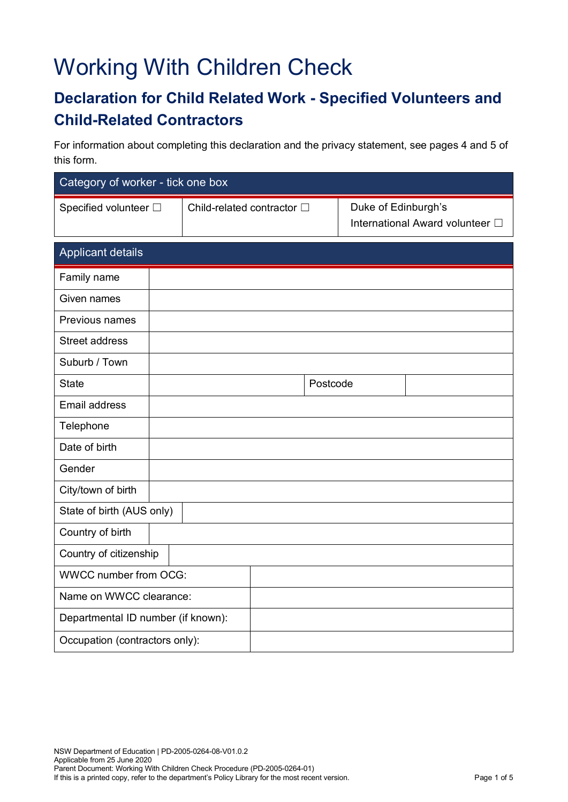# Working With Children Check

# **Declaration for Child Related Work - Specified Volunteers and Child-Related Contractors**

 For information about completing this declaration and the privacy statement, see pages 4 and 5 of this form.

| Category of worker - tick one box  |  |                            |  |          |                                                             |  |  |
|------------------------------------|--|----------------------------|--|----------|-------------------------------------------------------------|--|--|
| Specified volunteer $\Box$         |  | Child-related contractor □ |  |          | Duke of Edinburgh's<br>International Award volunteer $\Box$ |  |  |
| <b>Applicant details</b>           |  |                            |  |          |                                                             |  |  |
| Family name                        |  |                            |  |          |                                                             |  |  |
| Given names                        |  |                            |  |          |                                                             |  |  |
| Previous names                     |  |                            |  |          |                                                             |  |  |
| <b>Street address</b>              |  |                            |  |          |                                                             |  |  |
| Suburb / Town                      |  |                            |  |          |                                                             |  |  |
| State                              |  |                            |  | Postcode |                                                             |  |  |
| Email address                      |  |                            |  |          |                                                             |  |  |
| Telephone                          |  |                            |  |          |                                                             |  |  |
| Date of birth                      |  |                            |  |          |                                                             |  |  |
| Gender                             |  |                            |  |          |                                                             |  |  |
| City/town of birth                 |  |                            |  |          |                                                             |  |  |
| State of birth (AUS only)          |  |                            |  |          |                                                             |  |  |
| Country of birth                   |  |                            |  |          |                                                             |  |  |
| Country of citizenship             |  |                            |  |          |                                                             |  |  |
| <b>WWCC number from OCG:</b>       |  |                            |  |          |                                                             |  |  |
| Name on WWCC clearance:            |  |                            |  |          |                                                             |  |  |
| Departmental ID number (if known): |  |                            |  |          |                                                             |  |  |
| Occupation (contractors only):     |  |                            |  |          |                                                             |  |  |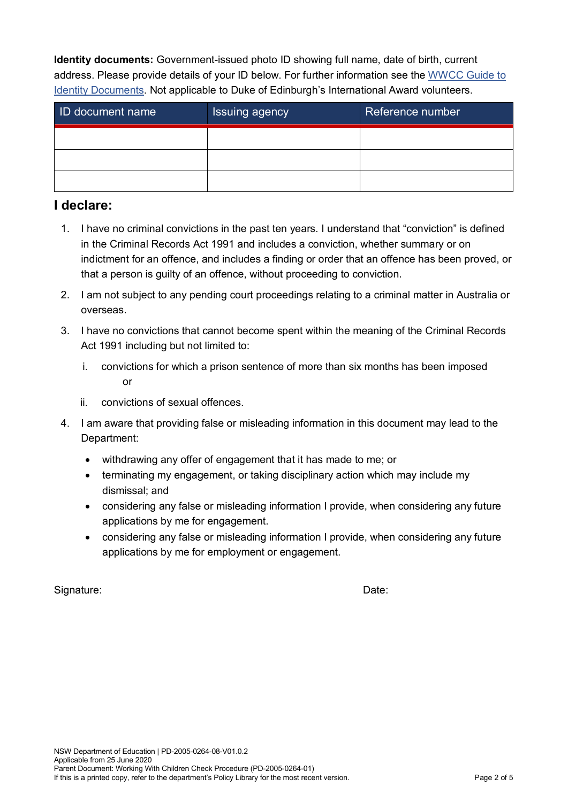address. Please provide details of your ID below. For further information see the <u>WWCC Guide to</u> **Identity documents:** Government-issued photo ID showing full name, date of birth, current [Identity Documents.](https://policies.education.nsw.gov.au/policy-library/associated-documents/id-documents-guide-wwcc.pdf) Not applicable to Duke of Edinburgh's International Award volunteers.

| <b>ID document name</b> | <b>Issuing agency</b> | Reference number |
|-------------------------|-----------------------|------------------|
|                         |                       |                  |
|                         |                       |                  |
|                         |                       |                  |

#### **I declare:**

- in the Criminal Records Act 1991 and includes a conviction, whether summary or on indictment for an offence, and includes a finding or order that an offence has been proved, or that a person is guilty of an offence, without proceeding to conviction. 1. I have no criminal convictions in the past ten years. I understand that "conviction" is defined
- 2. I am not subject to any pending court proceedings relating to a criminal matter in Australia or overseas.
- 3. I have no convictions that cannot become spent within the meaning of the Criminal Records Act 1991 including but not limited to:
	- i. convictions for which a prison sentence of more than six months has been imposed  $\alpha$ r
	- ii. convictions of sexual offences.
- 4. I am aware that providing false or misleading information in this document may lead to the Department:
	- withdrawing any offer of engagement that it has made to me; or
	- terminating my engagement, or taking disciplinary action which may include my dismissal; and
	- applications by me for engagement. • considering any false or misleading information I provide, when considering any future
	- applications by me for employment or engagement. • considering any false or misleading information I provide, when considering any future

Signature: Date: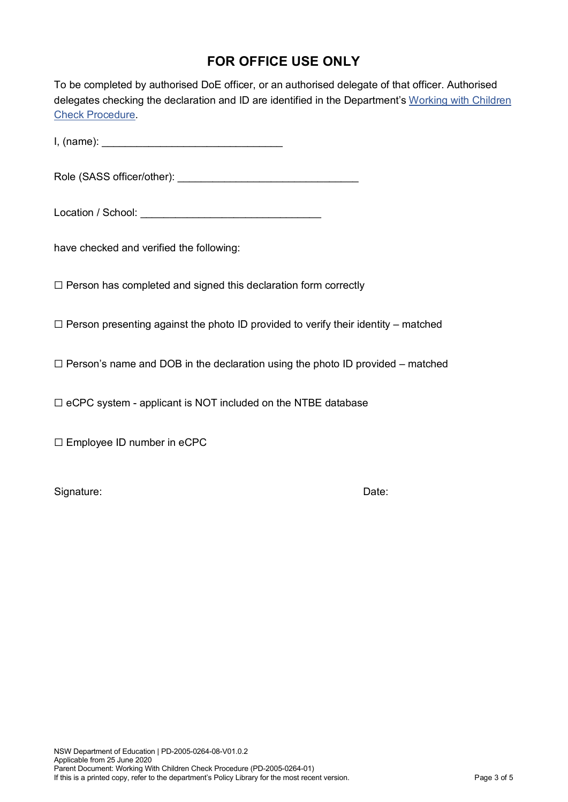## **FOR OFFICE USE ONLY**

 To be completed by authorised DoE officer, or an authorised delegate of that officer. Authorised delegates checking the declaration and ID are identified in the Department's [Working with Children](https://policies.education.nsw.gov.au/policy-library/associated-documents/procedures-wwcc.pdf)  [Check Procedure.](https://policies.education.nsw.gov.au/policy-library/associated-documents/procedures-wwcc.pdf)

 $I, (name):$ 

Role (SASS officer/other): \_\_\_\_\_\_\_\_\_\_\_\_\_\_\_\_\_\_\_\_\_\_\_\_\_\_\_\_\_\_\_

Location / School: **Location / School:** 

have checked and verified the following:

☐ Person has completed and signed this declaration form correctly

 $\Box$  Person presenting against the photo ID provided to verify their identity – matched

 $\Box$  Person's name and DOB in the declaration using the photo ID provided – matched

 $\Box$  eCPC system - applicant is NOT included on the NTBE database

 $\Box$  Employee ID number in eCPC

Signature: Date: Date: Date: Date: Date: Date: Date: Date: Date: Date: Date: Date: Date: Date: Date: Date: Date: Date: Date: Date: Date: Date: Date: Date: Date: Date: Date: Date: Date: Date: Date: Date: Date: Date: Date: D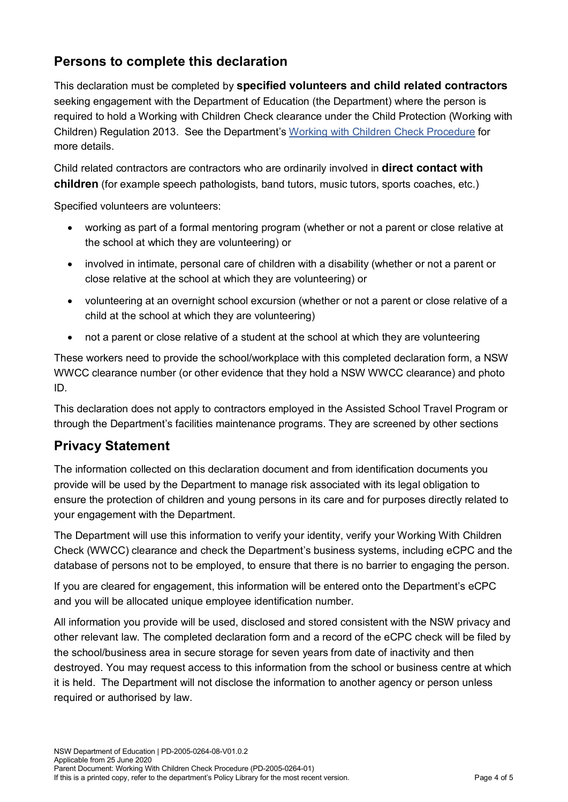### **Persons to complete this declaration**

 Children) Regulation 2013. See the Department's [Working with Children Check Procedure](https://policies.education.nsw.gov.au/policy-library/associated-documents/procedures-wwcc.pdf) for This declaration must be completed by **specified volunteers and child related contractors**  seeking engagement with the Department of Education (the Department) where the person is required to hold a Working with Children Check clearance under the Child Protection (Working with more details.

Child related contractors are contractors who are ordinarily involved in **direct contact with children** (for example speech pathologists, band tutors, music tutors, sports coaches, etc.)

Specified volunteers are volunteers:

- • working as part of a formal mentoring program (whether or not a parent or close relative at the school at which they are volunteering) or
- involved in intimate, personal care of children with a disability (whether or not a parent or close relative at the school at which they are volunteering) or
- volunteering at an overnight school excursion (whether or not a parent or close relative of a child at the school at which they are volunteering)
- not a parent or close relative of a student at the school at which they are volunteering

 These workers need to provide the school/workplace with this completed declaration form, a NSW WWCC clearance number (or other evidence that they hold a NSW WWCC clearance) and photo ID.

This declaration does not apply to contractors employed in the Assisted School Travel Program or through the Department's facilities maintenance programs. They are screened by other sections

#### **Privacy Statement**

your engagement with the Department. The information collected on this declaration document and from identification documents you provide will be used by the Department to manage risk associated with its legal obligation to ensure the protection of children and young persons in its care and for purposes directly related to

your engagement with the Department.<br>The Department will use this information to verify your identity, verify your Working With Children Check (WWCC) clearance and check the Department's business systems, including eCPC and the database of persons not to be employed, to ensure that there is no barrier to engaging the person.

If you are cleared for engagement, this information will be entered onto the Department's eCPC and you will be allocated unique employee identification number.

 All information you provide will be used, disclosed and stored consistent with the NSW privacy and other relevant law. The completed declaration form and a record of the eCPC check will be filed by the school/business area in secure storage for seven years from date of inactivity and then destroyed. You may request access to this information from the school or business centre at which it is held. The Department will not disclose the information to another agency or person unless required or authorised by law.